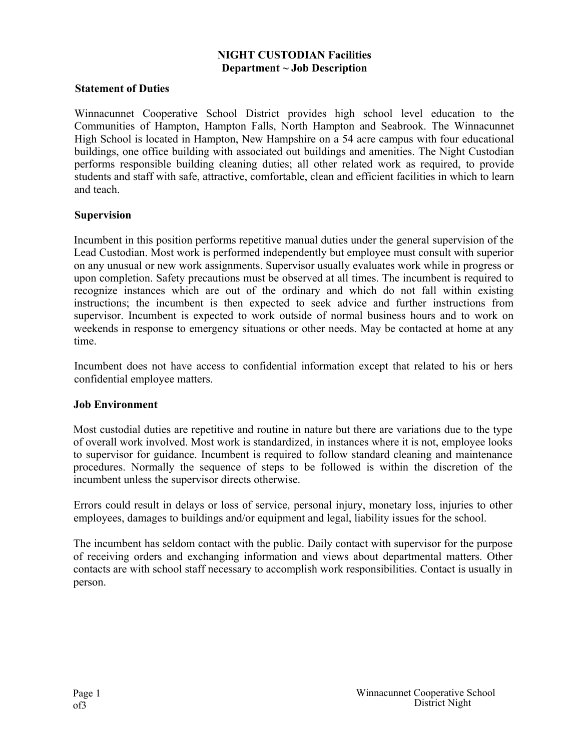# **NIGHT CUSTODIAN Facilities Department ~ Job Description**

#### **Statement of Duties**

Winnacunnet Cooperative School District provides high school level education to the Communities of Hampton, Hampton Falls, North Hampton and Seabrook. The Winnacunnet High School is located in Hampton, New Hampshire on a 54 acre campus with four educational buildings, one office building with associated out buildings and amenities. The Night Custodian performs responsible building cleaning duties; all other related work as required, to provide students and staff with safe, attractive, comfortable, clean and efficient facilities in which to learn and teach.

#### **Supervision**

Incumbent in this position performs repetitive manual duties under the general supervision of the Lead Custodian. Most work is performed independently but employee must consult with superior on any unusual or new work assignments. Supervisor usually evaluates work while in progress or upon completion. Safety precautions must be observed at all times. The incumbent is required to recognize instances which are out of the ordinary and which do not fall within existing instructions; the incumbent is then expected to seek advice and further instructions from supervisor. Incumbent is expected to work outside of normal business hours and to work on weekends in response to emergency situations or other needs. May be contacted at home at any time.

Incumbent does not have access to confidential information except that related to his or hers confidential employee matters.

### **Job Environment**

Most custodial duties are repetitive and routine in nature but there are variations due to the type of overall work involved. Most work is standardized, in instances where it is not, employee looks to supervisor for guidance. Incumbent is required to follow standard cleaning and maintenance procedures. Normally the sequence of steps to be followed is within the discretion of the incumbent unless the supervisor directs otherwise.

Errors could result in delays or loss of service, personal injury, monetary loss, injuries to other employees, damages to buildings and/or equipment and legal, liability issues for the school.

The incumbent has seldom contact with the public. Daily contact with supervisor for the purpose of receiving orders and exchanging information and views about departmental matters. Other contacts are with school staff necessary to accomplish work responsibilities. Contact is usually in person.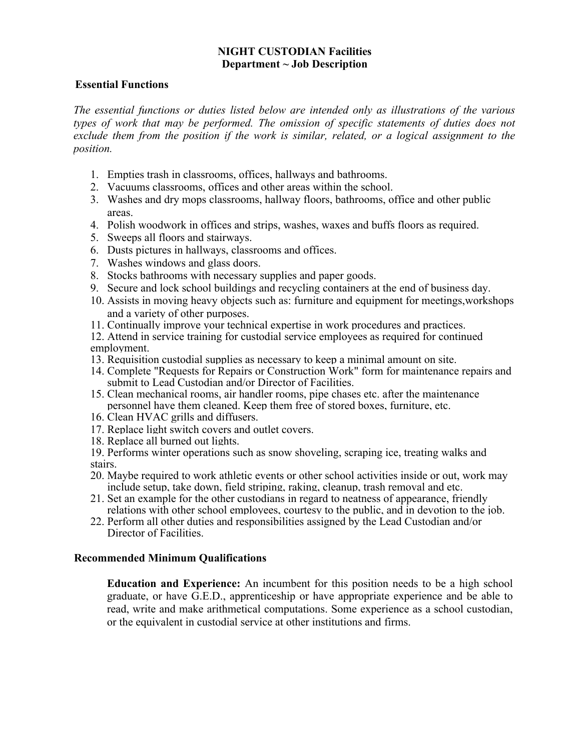## **NIGHT CUSTODIAN Facilities Department ~ Job Description**

#### **Essential Functions**

*The essential functions or duties listed below are intended only as illustrations of the various types of work that may be performed. The omission of specific statements of duties does not exclude them from the position if the work is similar, related, or a logical assignment to the position.*

- 1. Empties trash in classrooms, offices, hallways and bathrooms.
- 2. Vacuums classrooms, offices and other areas within the school.
- 3. Washes and dry mops classrooms, hallway floors, bathrooms, office and other public areas.
- 4. Polish woodwork in offices and strips, washes, waxes and buffs floors as required.
- 5. Sweeps all floors and stairways.
- 6. Dusts pictures in hallways, classrooms and offices.
- 7. Washes windows and glass doors.
- 8. Stocks bathrooms with necessary supplies and paper goods.
- 9. Secure and lock school buildings and recycling containers at the end of business day.
- 10. Assists in moving heavy objects such as: furniture and equipment for meetings,workshops and a variety of other purposes.
- 11. Continually improve your technical expertise in work procedures and practices.
- 12. Attend in service training for custodial service employees as required for continued employment.
- 13. Requisition custodial supplies as necessary to keep a minimal amount on site.
- 14. Complete "Requests for Repairs or Construction Work" form for maintenance repairs and submit to Lead Custodian and/or Director of Facilities.
- 15. Clean mechanical rooms, air handler rooms, pipe chases etc. after the maintenance personnel have them cleaned. Keep them free of stored boxes, furniture, etc.
- 16. Clean HVAC grills and diffusers.
- 17. Replace light switch covers and outlet covers.
- 18. Replace all burned out lights.

19. Performs winter operations such as snow shoveling, scraping ice, treating walks and stairs.

- 20. Maybe required to work athletic events or other school activities inside or out, work may include setup, take down, field striping, raking, cleanup, trash removal and etc.
- 21. Set an example for the other custodians in regard to neatness of appearance, friendly relations with other school employees, courtesy to the public, and in devotion to the job.
- 22. Perform all other duties and responsibilities assigned by the Lead Custodian and/or Director of Facilities.

### **Recommended Minimum Qualifications**

**Education and Experience:** An incumbent for this position needs to be a high school graduate, or have G.E.D., apprenticeship or have appropriate experience and be able to read, write and make arithmetical computations. Some experience as a school custodian, or the equivalent in custodial service at other institutions and firms.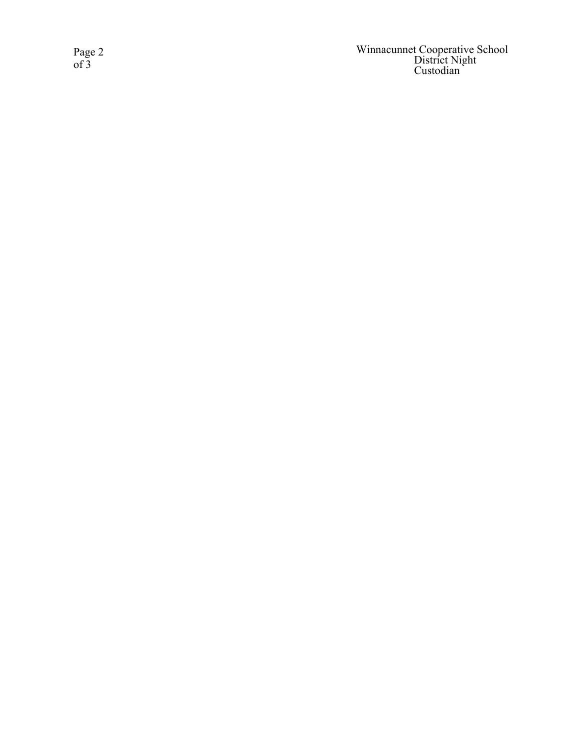Winnacunnet Cooperative School District Night Custodian

Page 2 of 3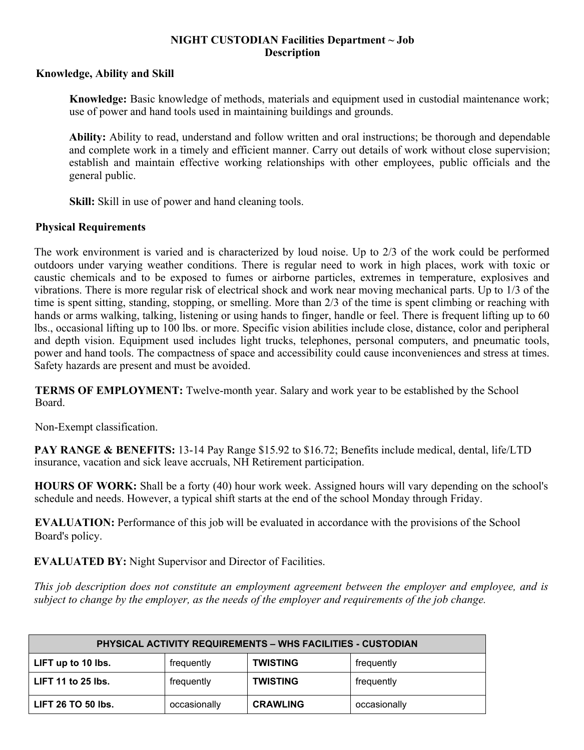## **NIGHT CUSTODIAN Facilities Department ~ Job Description**

### **Knowledge, Ability and Skill**

**Knowledge:** Basic knowledge of methods, materials and equipment used in custodial maintenance work; use of power and hand tools used in maintaining buildings and grounds.

**Ability:** Ability to read, understand and follow written and oral instructions; be thorough and dependable and complete work in a timely and efficient manner. Carry out details of work without close supervision; establish and maintain effective working relationships with other employees, public officials and the general public.

**Skill:** Skill in use of power and hand cleaning tools.

## **Physical Requirements**

The work environment is varied and is characterized by loud noise. Up to 2/3 of the work could be performed outdoors under varying weather conditions. There is regular need to work in high places, work with toxic or caustic chemicals and to be exposed to fumes or airborne particles, extremes in temperature, explosives and vibrations. There is more regular risk of electrical shock and work near moving mechanical parts. Up to 1/3 of the time is spent sitting, standing, stopping, or smelling. More than 2/3 of the time is spent climbing or reaching with hands or arms walking, talking, listening or using hands to finger, handle or feel. There is frequent lifting up to 60 lbs., occasional lifting up to 100 lbs. or more. Specific vision abilities include close, distance, color and peripheral and depth vision. Equipment used includes light trucks, telephones, personal computers, and pneumatic tools, power and hand tools. The compactness of space and accessibility could cause inconveniences and stress at times. Safety hazards are present and must be avoided.

**TERMS OF EMPLOYMENT:** Twelve-month year. Salary and work year to be established by the School Board.

Non-Exempt classification.

**PAY RANGE & BENEFITS:** 13-14 Pay Range \$15.92 to \$16.72; Benefits include medical, dental, life/LTD insurance, vacation and sick leave accruals, NH Retirement participation.

**HOURS OF WORK:** Shall be a forty (40) hour work week. Assigned hours will vary depending on the school's schedule and needs. However, a typical shift starts at the end of the school Monday through Friday.

**EVALUATION:** Performance of this job will be evaluated in accordance with the provisions of the School Board's policy.

**EVALUATED BY:** Night Supervisor and Director of Facilities.

*This job description does not constitute an employment agreement between the employer and employee, and is* subject to change by the employer, as the needs of the employer and requirements of the job change.

| PHYSICAL ACTIVITY REQUIREMENTS - WHS FACILITIES - CUSTODIAN |              |                 |              |  |  |  |  |  |  |
|-------------------------------------------------------------|--------------|-----------------|--------------|--|--|--|--|--|--|
| LIFT up to 10 lbs.                                          | frequently   | <b>TWISTING</b> | frequently   |  |  |  |  |  |  |
| <b>LIFT 11 to 25 lbs.</b>                                   | frequently   | <b>TWISTING</b> | frequently   |  |  |  |  |  |  |
| <b>LIFT 26 TO 50 lbs.</b>                                   | occasionally | <b>CRAWLING</b> | occasionally |  |  |  |  |  |  |